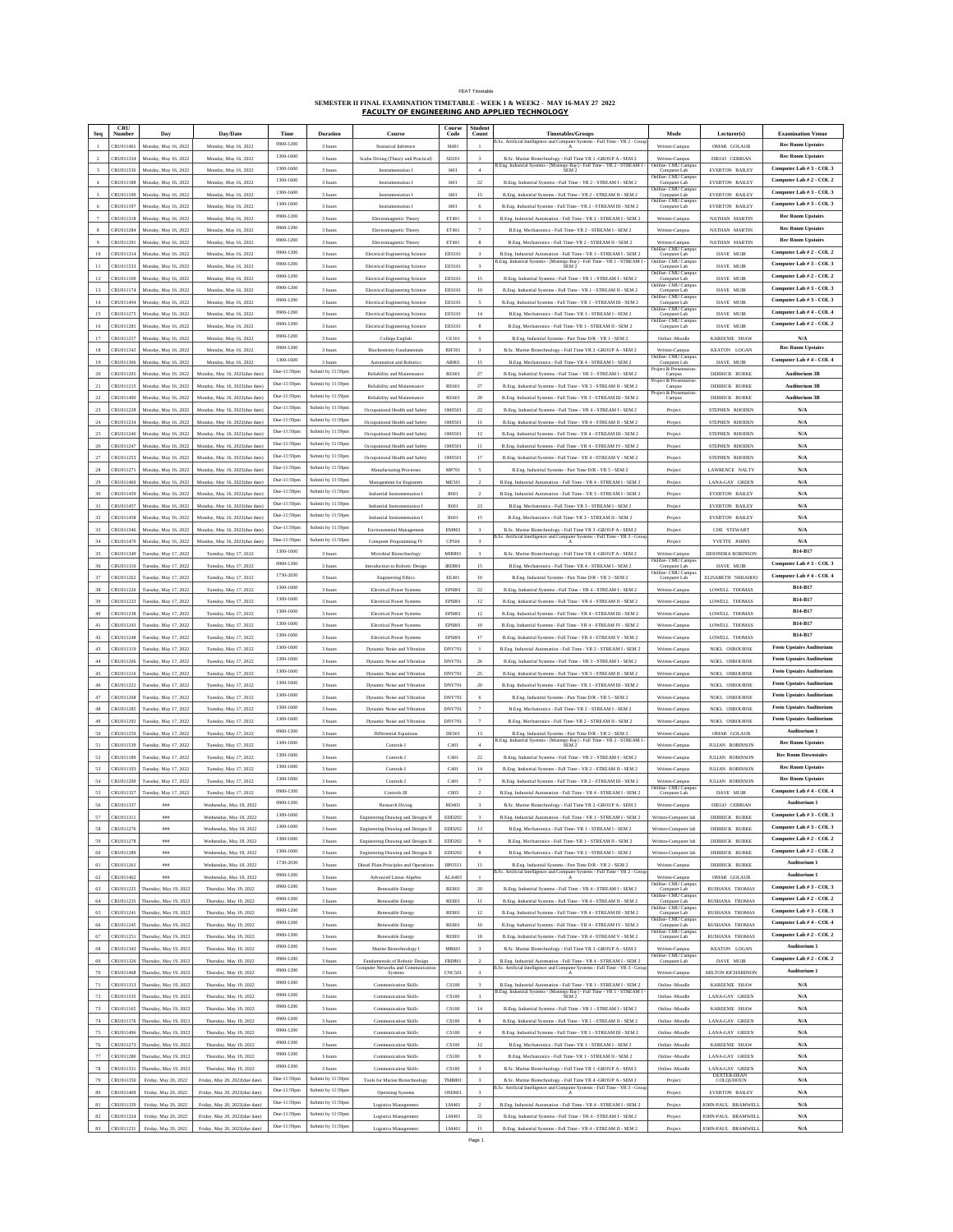| <b>FFAT Timetable</b> |  |  |  |
|-----------------------|--|--|--|

FEAT Timetable **SEMESTER II FINAL EXAMINATION TIMETABLE - WEEK 1 & WEEK2 - MAY 16-MAY 27 2022 FACULTY OF ENGINEERING AND APPLIED TECHNOLOGY**

|                          | CRU                    |                                              |                                                                  |             |                   |                                                                      | Course         | Student                  |                                                                                                                                                    |                                       |                                          |                                  |
|--------------------------|------------------------|----------------------------------------------|------------------------------------------------------------------|-------------|-------------------|----------------------------------------------------------------------|----------------|--------------------------|----------------------------------------------------------------------------------------------------------------------------------------------------|---------------------------------------|------------------------------------------|----------------------------------|
|                          | Number                 | Day                                          | Day/Date                                                         | Time        | <b>Duration</b>   | Course                                                               | Code           | Count                    | <b>Timetables/Groups</b><br>B.Sc. Artificial Intelligence and Computer Systems - Full Time - YR 2 - Grou                                           | Mode                                  | Lecturer(s)                              | <b>Examination Venue</b>         |
|                          | CRU011461              | Monday, May 16, 2022                         | Monday, May 16, 2022                                             | 0900-1200   | 3 hours           | Statistical Inference                                                | SI401          | $\mathbf{1}$             |                                                                                                                                                    | Written-Campus                        | OMAR GOLAUB                              | <b>Rec Room Upstairs</b>         |
|                          | CRU011334              | Monday, May 16, 2022                         | Monday, May 16, 2022                                             | 1300-1600   | 3 hours           | Scuba Diving (Theory and Practical)                                  | SD201          |                          | B.Sc. Marine Biotechnology - Full Time YR 1 -GROUP A - SEM 2                                                                                       | Written-Campus                        | DIEGO CEBRIAN                            | <b>Rec Room Upstairs</b>         |
|                          | CRU011536              | Monday, May 16, 2022                         | Monday, May 16, 2022                                             | 1300-1600   | 3 hours           | Instrumentation I                                                    | 1401           | $\Delta$                 | B.Eng. Industrial Systems - [Montego Bay] - Full Time - YR $2$ - STREAM I - SEM $2$                                                                | Onlilne- CMU Campu<br>Computer Lab    | EVERTON BAILEY                           | Computer Lab # 3 - COL 3         |
|                          | CRU011188              | Monday, May 16, 2022                         | Monday, May 16, 2022                                             | 1300-1600   | 3 hours           | Instrumentation 1                                                    | 1401           | $^{22}$                  | B.Eng. Industrial Systems - Full Time - YR 2 - STREAM I - SEM 2                                                                                    | Onlilne- CMU Campus<br>Computer Lab   | EVERTON BAILEY                           | Computer Lab # 2 - COL 2         |
|                          | CRU011190              | Monday, May 16, 2022                         | Monday, May 16, 2022                                             | 1300-1600   | 3 hours           | Instrumentation I                                                    | 1401           | $15\,$                   | B.Eng. Industrial Systems - Full Time - YR 2 - STREAM II - SEM 2                                                                                   | Dalilne- CMU Campu<br>Computer Lab    | EVERTON BAILEY                           | Computer Lab # 3 - COL 3         |
|                          | CRU011197              | Monday, May 16, 2022                         | Monday, May 16, 2022                                             | 1300-1600   | 3 hours           | Instrumentation I                                                    | 1401           | 6                        | B.Eng. Industrial Systems - Full Time - YR 2 - STREAM III - SEM 2                                                                                  | Onlilne- CMU Campu<br>Computer Lab    | EVERTON BAILEY                           | Computer Lab # 3 - COL 3         |
|                          | CRU011318              | Monday, May 16, 2022                         |                                                                  | 0900-1200   | 3 hours           |                                                                      | ET401          | $\mathbf{1}$             | B.Eng. Industrial Automation - Full Time - YR 2 - STREAM I - SEM 2                                                                                 | Written-Campus                        |                                          | <b>Rec Room Upstairs</b>         |
|                          |                        |                                              | Monday, May 16, 2022                                             | 0900-1200   |                   | Electromagnetic Theory                                               |                |                          |                                                                                                                                                    |                                       | NATHAN MARTIN                            | <b>Rec Room Upstairs</b>         |
|                          | CRU011284              | Monday, May 16, 2022                         | Monday, May 16, 2022                                             |             | 3 hours           | Electromagnetic Theory                                               | ET401          | $\overline{7}$           | B.Eng. Mechatronics - Full Time-YR 2 - STREAM I - SEM 2                                                                                            | Written-Campus                        | NATHAN MARTIN                            |                                  |
|                          | CRU011291              | Monday, May 16, 2022                         | Monday, May 16, 2022                                             | 0900-1200   | 3 hours           | Electromagnetic Theory                                               | ET401          | 8                        | B.Eng. Mechatronics - Full Time-YR 2 - STREAM II - SEM :                                                                                           | Written-Campus<br>Onlilne- CMU Campu  | NATHAN MARTIN                            | <b>Rec Room Upstairs</b>         |
| $10\,$                   | CRU011314              | Monday, May 16, 2022                         | Monday, May 16, 2022                                             | 0900-1200   | 3 hours           | <b>Electrical Engineering Science</b>                                | <b>EES101</b>  | $\mathbf{a}$             | B.<br>Eng. Industrial Automation - Full Time - YR 1 - STREAM I - SEM $2$                                                                           | Computer Lab                          | DAVE MUIR                                | Computer Lab # 2 - COL 2         |
| 11                       | CRU011533              | Monday, May 16, 2022                         | Monday, May 16, 2022                                             | 0900-1200   | 3 hours           | <b>Electrical Engineering Science</b>                                | <b>EES101</b>  |                          | B.Eng. Industrial Systems - [Montego Bay] - Full Time - YR 1 - STREAM I - SEM $2$                                                                  | Onlilne- CMU Campu<br>Computer Lab    | DAVE MUIF                                | Computer Lab # 3 - COL 3         |
| 12                       | CRU011169              | Monday, May 16, 2022                         | Monday, May 16, 2022                                             | 0900-1200   | 3 hours           | <b>Electrical Engineering Science</b>                                | <b>EES101</b>  | 15                       | B.Eng. Industrial Systems - Full Time - YR 1 - STREAM I - SEM 2                                                                                    | Onlilne- CMU Campu<br>Computer Lab    | DAVE MUIR                                | Computer Lab # 2 - COL 2         |
| 13                       | CRU011174              | Monday, May 16, 2022                         | Monday, May 16, 2022                                             | 0900-1200   | 3 hours           | <b>Electrical Engineering Science</b>                                | <b>EES101</b>  | 10                       | B.Eng. Industrial Systems - Full Time - YR 1 - STREAM II - SEM 2                                                                                   | Onlilne- CMU Campus<br>Computer Lab   | DAVE MUIR                                | Computer Lab # 3 - COL 3         |
| 14                       | CRU011494              | Monday, May 16, 2022                         | Monday, May 16, 2022                                             | 0900-1200   | 3 hours           | <b>Electrical Engineering Science</b>                                | <b>EES101</b>  | $\mathsf{s}$             | B.Eng. Industrial Systems - Full Time - YR 1 - STREAM III - SEM 2                                                                                  | Dnlilne- CMU Campus<br>Computer Lab   | DAVE MUIR                                | Computer Lab # 3 - COL 3         |
|                          |                        |                                              |                                                                  | 0900-1200   |                   |                                                                      |                |                          | B. Eng. Mechatronics - Full Time, VR 1 - STREAM L. SEM 2                                                                                           | Onlilne- CMU Campu                    |                                          | Computer Lab # 4 - COL 4         |
| 15                       | CRU011275              | Monday, May 16, 2022                         | Monday, May 16, 2022                                             | 0900-1200   | 3 hours           | <b>Electrical Engineering Science</b>                                | <b>EES101</b>  | 14                       |                                                                                                                                                    | Computer Lab<br>Onlilne- CMU Campu    | DAVE MUIR                                | Computer Lab # 2 - COL 2         |
| 16                       | CRU011281              | Monday, May 16, 2022                         | Monday, May 16, 2022                                             |             | 3 hours           | <b>Electrical Engineering Scienc</b>                                 | <b>EES101</b>  | $\mathbb{R}$             | B.Eng. Mechatronics - Full Time- YR 1 - STREAM II - SEM 2                                                                                          | Computer Lab                          | DAVE MUIF                                |                                  |
| 17                       | CRU011257              | Monday, May 16, 2022                         | Monday, May 16, 2022                                             | 0900-1200   | 3 hours           | College English                                                      | CE101          | $\mathbf{Q}$             | B.Eng. Industrial Systems - Part Time D/R - YR 1 - SEM 2                                                                                           | Online -Moodle                        | KAREENIE SHAW                            | N/A                              |
| 18                       | CRU011342              | Monday, May 16, 2022                         | Monday, May 16, 2022                                             | 0900-1200   | 3 hours           | <b>Biochemistry Fundamentals</b>                                     | BIF301         | $\overline{3}$           | B.Sc. Marine Biotechnology - Full Time YR 2 -GROUP A - SEM 2                                                                                       | Written-Campus                        | KEATON LOGAN                             | <b>Rec Room Upstairs</b>         |
| 19                       | CRU011306              | Monday, May 16, 2022                         | Monday, May 16, 2022                                             | 1300-1600   | 3 hours           | Automation and Robotics                                              | AR801          | 15                       | B.Eng. Mechatronics - Full Time-YR 4 - STREAM I - SEM 2                                                                                            | Dalilne- CMU Campu<br>Computer Lal    | DAVE MUIR                                | Computer Lab # 4 - COL 4         |
| 20                       | CRU011205              | Monday, May 16, 2022                         | Monday, May 16, 2022(due date)                                   | Due-11:59pm | Submit by 11:59pm | Reliability and Maintenance                                          | <b>RE601</b>   | $_{\rm 27}$              | B.Eng. Industrial Systems - Full Time - YR 3 - STREAM I - SEM 2                                                                                    | oject & Presentati<br>Campus          | DERRICK BURKE                            | Auditorium 3B                    |
| $_{21}$                  | CRU011215              | Monday, May 16, 2022                         | Monday, May 16, 2022(due date)                                   | Due-11:59pm | Submit by 11:59pm | Reliability and Maintenance                                          | <b>RE601</b>   | 27                       | B.Eng. Industrial Systems - Full Time - YR 3 - STREAM II - SEM 2                                                                                   | Project & Presentation<br>Campus      | DERRICK BURKE                            | Auditorium 3B                    |
| 22                       | CRU011490              | Monday, May 16, 2022                         | Monday, May 16, 2022(due date                                    | Due-11:59pm | Submit by 11:59pp | Reliability and Maintenance                                          | <b>RE601</b>   | 20                       | B.Eng. Industrial Systems - Full Time - YR 3 - STREAM III - SEM 2                                                                                  | Project & Presentat                   | <b>DERRICK BURKE</b>                     | Auditorium 3B                    |
|                          |                        |                                              |                                                                  | Due-11:59pm | Submit by 11:59pm |                                                                      |                |                          |                                                                                                                                                    | Campus                                |                                          |                                  |
| $\overline{23}$          | CRU011228              | Monday, May 16, 2022                         | Monday, May 16, 2022(due date                                    | Due-11:59pm |                   | Occupational Health and Safety                                       | <b>OHS501</b>  | 22                       | B.Eng. Industrial Systems - Full Time - YR 4 - STREAM I - SEM 2                                                                                    | Projec                                | <b>STEPHEN RHODEN</b>                    | N/A                              |
| $^{24}$                  | CRU011234              | Monday, May 16, 2022                         | Monday, May 16, 2022(due date)                                   |             | Submit by 11:59pm | Occupational Health and Safety                                       | <b>OHS501</b>  | 11                       | B.Eng. Industrial Systems - Full Time - YR 4 - STREAM II - SEM 2                                                                                   | Project                               | STEPHEN RHODEN                           | N/A                              |
| 25                       | CRU011240              | Monday, May 16, 2022                         | Monday, May 16, 2022(due date                                    | Due-11:59pm | Submit by 11:59pm | Occupational Health and Safety                                       | <b>OHS501</b>  | 12                       | B.Eng. Industrial Systems - Full Time - YR 4 - STREAM III - SEM 2                                                                                  | Project                               | STEPHEN RHODEN                           | N/A                              |
| 26                       | CRU011247              | Monday, May 16, 2022                         | Monday, May 16, 2022(due date)                                   | Due-11:59pm | Submit by 11:59pm | Occupational Health and Safety                                       | <b>OHS501</b>  | $11\,$                   | B.Eng. Industrial Systems - Full Time - YR 4 - STREAM IV - SEM 2                                                                                   | Project                               | STEPHEN RHODEN                           | N/A                              |
|                          | CRU011253              | Monday, May 16, 2022                         | Monday, May 16, 2022(due date)                                   | Due-11:59pm | Submit by 11:59pm | Occupational Health and Safety                                       | <b>OHS501</b>  | 17                       | B.Eng. Industrial Systems - Full Time - YR 4 - STREAM V - SEM 2                                                                                    | Project                               | STEPHEN RHODEN                           | N/A                              |
| $_{28}$                  | CRU011271              | Monday, May 16, 2022                         | Monday, May 16, 2022(due date)                                   | Due-11:59pm | Submit by 11:59pm | <b>Manufacturing Processes</b>                                       | MP701          | $\mathsf{s}$             | B.Eng. Industrial Systems - Part Time D/R - YR 5 - SEM 2                                                                                           | Project                               | LAWRENCE NALTY                           | $\mathbf{N}/\mathbf{A}$          |
| 29                       | CRU011460              | Monday, May 16, 2022                         | Monday, May 16, 2022(due date                                    | Due-11:59pm | Submit by 11:59pm | Management for Engineers                                             | <b>ME501</b>   | $\overline{2}$           | B.Eng. Industrial Automation - Full Time - YR 4 - STREAM I - SEM 2                                                                                 | Project                               | LANA-GAY GREEN                           | N/A                              |
|                          |                        |                                              |                                                                  | Due-11:59pm | Submit by 11:59pm |                                                                      |                |                          |                                                                                                                                                    |                                       |                                          |                                  |
| 30                       | CRU011459              | Monday, May 16, 2022                         | Monday, May 16, 2022(due date)                                   | Due-11:59pm | Submit by 11:59pm | Industrial Instrumentation I                                         | <b>II601</b>   | $\mathcal{P}$            | R Eng. Industrial Automation - Full Time - VR 3 - STREAM L- SEM 2                                                                                  | Project                               | <b>EVERTON BAILEY</b>                    | N/A                              |
| 31                       | CRU011457              | Monday, May 16, 2022                         | Monday, May 16, 2022(due date)                                   |             |                   | Industrial Instrumentation I                                         | <b>II601</b>   | 23                       | B.Eng. Mechatronics - Full Time-YR 3 - STREAM I - SEM 2                                                                                            | Project                               | <b>EVERTON BAILEY</b>                    | N/A                              |
| 32                       | CRU011458              | Monday, May 16, 2022                         | Monday, May 16, 2022(due date                                    | Due-11:59pm | Submit by 11:59pn | Industrial Instrumentation 1                                         | <b>H601</b>    | 15                       | B.Eng. Mechatronics - Full Time-YR 3 - STREAM II - SEM 2                                                                                           | Projec                                | <b>EVERTON BAILEY</b>                    | N/A                              |
| 33                       | CRU011346              | Monday, May 16, 2022                         | Monday, May 16, 2022(due date)                                   | Due-11:59pm | Submit by 11:59pn | Environmental Managemen                                              | EM802          | $\overline{\mathbf{3}}$  | B.Sc. Marine Biotechnology - Full Time YR 3 -GROUP A - SEM 2                                                                                       | Project                               | CHE STEWART                              | $\mathbf{N}/\mathbf{A}$          |
| 34                       | CRU011470              | Monday, May 16, 2022                         | Monday, May 16, 2022(due date)                                   | Due-11:59pm | Submit by 11:59pm | Computer Programming IV                                              | CP504          |                          | B.Sc. Artificial Intelligence and Computer Systems - Full Time - YR 3 - Gro                                                                        | Projec                                | YVETTE JOHNS                             | N/A                              |
| $\overline{\mathbf{35}}$ | CRU011349              | Tuesday, May 17, 2022                        | Tuesday, May 17, 2022                                            | 1300-1600   | 3 hours           | Microbial Biotechnology                                              | MIB801         | $\overline{\mathbf{3}}$  | B.Sc. Marine Biotechnology - Full Time YR 4 -GROUP A - SEM 2                                                                                       | Written-Campus                        | DEIONDRA ROBINSON                        | <b>B14-B17</b>                   |
| 36                       | CRU011310              | Tuesday, May 17, 2022                        | Tuesday, May 17, 2022                                            | 0900-1200   | 3 hours           | Introduction to Robotic Design                                       | <b>IRD801</b>  | 15                       | B.Eng. Mechatronics - Full Time-YR 4 - STREAM I - SEM 2                                                                                            | Onlilne- CMU Campu<br>Computer Lab    | DAVE MUIR                                | Computer Lab # 3 - COL 3         |
|                          | CRU011262              |                                              |                                                                  | 1730-2030   |                   |                                                                      |                |                          |                                                                                                                                                    | Onlilne- CMU Campu                    |                                          | Computer Lab # 4 - COL 4         |
| 37                       |                        | Tuesday, May 17, 2022                        | Tuesday, May 17, 2022                                            | 1300-1600   | 3 hours           | <b>Engineering Ethics</b>                                            | EE401          | 10                       | B.Eng. Industrial Systems - Part Time D/R - YR 3 - SEM 2                                                                                           | Computer Lab                          | ELISABETH NERAHOO                        | <b>B14-B17</b>                   |
| 38                       | CRU011226              | Tuesday, May 17, 2022                        | Tuesday, May 17, 2022                                            |             | 3 hours           | <b>Electrical Power Systems</b>                                      | <b>EPS801</b>  | 22                       | B.Eng. Industrial Systems - Full Time - YR 4 - STREAM I - SEM 2                                                                                    | Written-Campus                        | LOWELL THOMAS                            |                                  |
| 39                       | CRU011233              | Tuesday, May 17, 2022                        | Tuesday, May 17, 2022                                            | 1300-1600   | 3 hours           | <b>Electrical Power Systems</b>                                      | <b>EPS801</b>  | 12                       | B.Eng. Industrial Systems - Full Time - YR 4 - STREAM II - SEM 2                                                                                   | Written-Campus                        | LOWELL THOMAS                            | B14-B17                          |
| 40                       | CRU011238              | Tuesday, May 17, 2022                        | Tuesday, May 17, 2022                                            | 1300-1600   | 3 hours           | Electrical Power Systems                                             | EPS801         | 12                       | B.Eng. Industrial Systems - Full Time - YR 4 - STREAM III - SEM 2                                                                                  | Written-Campu                         | LOWELL THOMAS                            | B14-B17                          |
| $41\,$                   | CRU011243              | Tuesday, May 17, 2022                        | Tuesday, May 17, 2022                                            | 1300-1600   | 3 hours           | Electrical Power Systems                                             | EPS801         | 10                       | B.Eng. Industrial Systems - Full Time - YR 4 - STREAM IV - SEM 2                                                                                   | Written-Campus                        | LOWELL THOMAS                            | B14-B17                          |
| 42                       | CRU011248              | Tuesday, May 17, 2022                        | Tuesday, May 17, 2022                                            | 1300-1600   | 3 hours           | Electrical Power Systems                                             | EPS801         | $17\,$                   | B.Eng. Industrial Systems - Full Time - YR 4 - STREAM V - SEM 2                                                                                    | Written-Campus                        | LOWELL THOMAS                            | B14-B17                          |
| 43                       | CRU011319              | Tuesday, May 17, 2022                        | Tuesday, May 17, 2022                                            | 1300-1600   | 3 hours           | Dynamic Noise and Vibration                                          | <b>DNV701</b>  |                          | B.Eng. Industrial Automation - Full Time - YR 2 - STREAM I - SEM 2                                                                                 | Written-Campus                        | NOEL OSBOURNE                            | <b>Festo Upstairs Auditorium</b> |
| 44                       | CRU011206              | Tuesday, May 17, 2022                        | Tuesday, May 17, 2022                                            | 1300-1600   | 3 hours           | Dynamic Noise and Vibration                                          | <b>DNV701</b>  | 26                       | B.Eng. Industrial Systems - Full Time - YR 3 - STREAM I - SEM 2                                                                                    |                                       | NOEL OSBOURNE                            | <b>Festo Upstairs Auditorium</b> |
|                          |                        |                                              |                                                                  | 1300-1600   |                   |                                                                      |                |                          |                                                                                                                                                    | Written-Campus                        |                                          | <b>Festo Upstairs Auditorium</b> |
| 45                       | CRU011216              | Tuesday, May 17, 2022                        | Tuesday, May 17, 2022                                            | 1300-1600   | 3 hours           | Dynamic Noise and Vibration                                          | <b>DNV701</b>  | 25                       | B.Eng. Industrial Systems - Full Time - YR 3 - STREAM II - SEM 2                                                                                   | Written-Campus                        | NOEL OSBOURNE                            |                                  |
| 46                       | CRU011222              | Tuesday, May 17, 2022                        | Tuesday, May 17, 2022                                            |             | 3 hours           | Dynamic Noise and Vibration                                          | <b>DNV701</b>  | 20                       | B.Eng. Industrial Systems - Full Time - YR 3 - STREAM III - SEM 2                                                                                  | Written-Campu                         | NOEL OSBOURNE                            | <b>Festo Upstairs Auditorium</b> |
| 47                       | CRU011268              | Tuesday, May 17, 2022                        | Tuesday, May 17, 2022                                            | 1300-1600   | 3 hours           | Dynamic Noise and Vibration                                          | DNV701         |                          | B.Eng. Industrial Systems - Part Time D/R - YR 5 - SEM 2                                                                                           | Written-Campus                        | NOEL OSBOURNE                            | <b>Festo Upstairs Auditorium</b> |
| 48                       | CRU011285              | Tuesday, May 17, 2022                        | Tuesday, May 17, 2022                                            | 1300-1600   | 3 hours           | Dynamic Noise and Vibration                                          | DNV701         | $\overline{\phantom{a}}$ | B.Eng. Mechatronics - Full Time- YR 2 - STREAM I - SEM 2                                                                                           | Written-Campus                        | NOEL OSBOURNE                            | <b>Festo Upstairs Auditorium</b> |
| 49                       | CRU011292              | Tuesday, May 17, 2022                        | Tuesday, May 17, 2022                                            | 1300-1600   | 3 hours           | Dynamic Noise and Vibration                                          | DNV701         | $\overline{7}$           | B.Eng. Mechatronics - Full Time- YR 2 - STREAM II - SEM 2                                                                                          | Written-Campus                        | NOEL OSBOURNE                            | <b>Festo Upstairs Auditorium</b> |
| 50                       | CRU011259              | Tuesday, May 17, 2022                        | Tuesday, May 17, 2022                                            | 0900-1200   | 3 hours           | Differential Equation                                                | DE301          | 13                       | B.Eng. Industrial Systems - Part Time D/R - YR 2 - SEM 2                                                                                           | Written-Campus                        | OMAR GOLAUB                              | Auditorium 1                     |
| 51                       | CRU011539              | Tuesday, May 17, 2022                        | Tuesday, May 17, 2022                                            | 1300-1600   | 3 hours           | Controls I                                                           | C401           | $\ddot{a}$               | B.Eng. Industrial Systems - [Montego Bay] - Full Time - YR $2$ - STREAM $\!1$ - SEM $2$                                                            | Written-Campus                        | <b>JULIAN ROBINSON</b>                   | <b>Rec Room Upstairs</b>         |
| 52                       | CRU011189              |                                              |                                                                  | 1300-1600   |                   |                                                                      | C401           | $22\,$                   | B.Eng. Industrial Systems - Full Time - YR 2 - STREAM I - SEM 2                                                                                    | Written-Campus                        |                                          | <b>Rec Room Downstairs</b>       |
|                          |                        | Tuesday, May 17, 2022                        | Tuesday, May 17, 2022                                            | 1300-1600   | 3 hours           | Controls I                                                           |                |                          |                                                                                                                                                    |                                       | <b>JULIAN ROBINSON</b>                   | <b>Rec Room Upstairs</b>         |
| 53                       | CRU011193              | Tuesday, May 17, 2022                        | Tuesday, May 17, 2022                                            |             | 3 hours           | Controls I                                                           | C401           | 14                       | B.Eng. Industrial Systems - Full Time - YR 2 - STREAM II - SEM 2                                                                                   | Written-Campu                         | <b>JULIAN ROBINSON</b>                   |                                  |
| 54                       | CRU011200              | Tuesday, May 17, 2022                        | Tuesday, May 17, 2022                                            | 1300-1600   | 3 hours           | Controls I                                                           | C401           |                          | B.Eng. Industrial Systems - Full Time - YR 2 - STREAM III - SEM 2                                                                                  | Written-Campus<br>Onlilne- CMU Campus | <b>JULIAN ROBINSON</b>                   | <b>Rec Room Upstairs</b>         |
| 55                       | CRU011327              | Tuesday, May 17, 2022                        | Tuesday, May 17, 2022                                            | 0900-1200   | 3 hours           | Controls III                                                         | C803           |                          | B.Eng. Industrial Automation - Full Time - YR 4 - STREAM I - SEM 2                                                                                 | Computer Lab                          | DAVE MUIR                                | Computer Lab # 4 - COL 4         |
| 56                       | CRU011337              | #444                                         | Wednesday, May 18, 2022                                          | 0900-1200   | 3 hours           | <b>Research Diving</b>                                               | RD403          | $\,$ 3                   | B.Sc. Marine Biotechnology - Full Time YR 2 -GROUP A - SEM 2                                                                                       | Written-Campus                        | DIEGO CEBRIAN                            | Auditorium 1                     |
|                          |                        |                                              |                                                                  | 1300-1600   |                   |                                                                      |                |                          |                                                                                                                                                    |                                       |                                          | Computer Lab # 3 - COL 3         |
| $^{58}$                  | CRU011276              | #88                                          | Wednesday, May 18, 2022                                          | 1300-1600   | 3 hours           | Engineering Drawing and Designs II                                   | EDD202         | 13                       | B.Eng. Mechatronics - Full Time- YR 1 - STREAM I - SEM 2                                                                                           | Written-Computer lab                  | DERRICK BURKE                            | Computer Lab # 3 - COL 3         |
| 59                       | CRU011278              | ###                                          | Wednesday, May 18, 2022                                          | 1300-1600   | 3 hours           | Engineering Drawing and Designs II                                   | EDD202         | $\mathbf{9}$             | B.Eng. Mechatronics - Full Time- YR 1 - STREAM II - SEM 2                                                                                          | Written-Computer lab                  | DERRICK BURKE                            | Computer Lab # 2 - COL 2         |
| 60                       | CRU011289              |                                              |                                                                  | 1300-1600   |                   |                                                                      | EDD202         |                          | B.Eng. Mechatronics - Full Time-YR 2 - STREAM I - SEM 2                                                                                            |                                       | DERRICK BURKE                            | Computer Lab # 2 - COL 2         |
|                          |                        | #22                                          | Wednesday, May 18, 2022                                          | 1730-2030   | 3 hours           | Engineering Drawing and Designs II                                   |                | 8                        |                                                                                                                                                    | Written-Computer lab                  |                                          | Auditorium 1                     |
| 61                       | CRU011261              | # 44                                         | Wednesday, May 18, 2022                                          |             | 3 hours           | Diesel Plant Principles and Operation                                | DP0311         | 11                       | B.Eng. Industrial Systems - Part Time D/R - YR 2 - SEM 2<br>B.Sc. Artificial Intelligence and Computer Systems - Full Time - YR 2 - Grou           | Written-Campus                        | DERRICK BURKE                            |                                  |
| 62                       | CRU011462              | # 44                                         | Wednesday, May 18, 2022                                          | 0900-1200   | 3 hours           | Advanced Linear Algebra                                              | ALA403         |                          |                                                                                                                                                    | Written-Campus<br>Onlilne- CMU Campu  | OMAR GOLAUB                              | Auditorium 1                     |
| 63                       | CRU011225              | Thursday, May 19, 2022                       | Thursday, May 19, 2022                                           | 0900-1200   | 3 hours           | Renewable Energy                                                     | <b>RE801</b>   | $20\,$                   | B.Eng. Industrial Systems - Full Time - YR 4 - STREAM I - SEM 2                                                                                    | Computer Lab                          | RUSHANA THOMAS                           | Computer Lab # 3 - COL 3         |
| 64                       | CRU011235              | Thursday, May 19, 2022                       | Thursday, May 19, 2022                                           | 0900-1200   | 3 hours           | Renewable Energy                                                     | <b>RE801</b>   | 11                       | B.Eng. Industrial Systems - Full Time - YR 4 - STREAM II - SEM 2                                                                                   | Onlilne- CMU Campu<br>Computer Lab    | RUSHANA THOMAS                           | Computer Lab # 2 - COL 2         |
| 65                       | CRU011241              | Thursday, May 19, 2022                       | Thursday, May 19, 2022                                           | 0900-1200   | 3 hours           | Renewable Energy                                                     | <b>RE801</b>   | 12                       | B.Eng. Industrial Systems - Full Time - YR 4 - STREAM III - SEM 2                                                                                  | Onlilne- CMU Campu<br>Computer Lab    | RUSHANA THOMAS                           | Computer Lab # 3 - COL 3         |
| 66                       | CRU011245              | Thursday, May 19, 2022                       | Thursday, May 19, 2022                                           | 0900-1200   | 3 hours           | Renewable Energy                                                     | <b>RE801</b>   | 10                       | B.Eng. Industrial Systems - Full Time - YR 4 - STREAM IV - SEM 2                                                                                   | Dalilne- CMU Campu<br>Computer Lab    | RUSHANA THOMAS                           | Computer Lab # 4 - COL 4         |
| 67                       | CRU011251              | Thursday, May 19, 2022                       | Thursday, May 19, 2022                                           | 0900-1200   | 3 hours           | Renewable Energy                                                     | <b>RE801</b>   | $18\,$                   | B.Eng. Industrial Systems - Full Time - YR 4 - STREAM V - SEM 2                                                                                    | Dalilne- CMU Campus<br>Computer Lab   | RUSHANA THOMAS                           | Computer Lab # 2 - COL 2         |
|                          |                        |                                              |                                                                  | 0900-1200   |                   |                                                                      |                |                          |                                                                                                                                                    |                                       |                                          | Auditorium 1                     |
| 68                       | CRU011343              | Thursday, May 19, 2022                       | Thursday, May 19, 2022                                           | 0900-1200   | 3 hours           | Marine Biotechnology I                                               | <b>MB601</b>   |                          | B.Sc. Marine Biotechnology - Full Time YR 3 -GROUP A - SEM 2                                                                                       | Written-Campus<br>Dnlilne- CMU Campus | KEATON LOGAN                             |                                  |
| 69                       | CRU011326              | Thursday, May 19, 2022                       | Thursday, May 19, 2022                                           |             | 3 hours           | <b>Fundamentals of Robotic Design</b><br>Computer Networks and Commu | <b>FRD801</b>  | $\overline{2}$           | B.Eng. Industrial Automation - Full Time - YR 4 - STREAM I - SEM 2<br>B.Sc. Artificial Intelligence and Computer Systems - Full Time - YR 3 - Grou | Computer Lab                          | DAVE MUIR                                | Computer Lab # 2 - COL 2         |
| 70                       | CRU011468              | Thursday, May 19, 2022                       | Thursday, May 19, 2022                                           | 0900-1200   | 3 hours           | Systems                                                              | CNC501         | 3                        |                                                                                                                                                    | Written-Campus                        | MILTON RICHARDSON                        | Auditorium 1                     |
| 71                       | CRU011313              | Thursday, May 19, 2022                       | Thursday, May 19, 2022                                           | 0900-1200   | 3 hours           | Communication Skills                                                 | CS100          | $\overline{3}$           | B.Eng. Industrial Automation - Full Time - YR 1 - STREAM I - SEM 2                                                                                 | Online -Moodle                        | KAREENIE SHAW                            | N/A                              |
| $72\,$                   | CRU011535              | Thursday, May 19, 2022                       | Thursday, May 19, 2022                                           | 0900-1200   | 3 hours           | Communication Skills                                                 | CS100          | 3                        | B.Eng. Industrial Systems - [Montego Bay] - Full Time - YR 1 - STREAM I SEM $2\,$                                                                  | Online -Moodle                        | LANA-GAY GREEN                           | $\mathbf{N}/\mathbf{A}$          |
| 73                       | CRU011165              | Thursday, May 19, 2022                       | Thursday, May 19, 2022                                           | 0900-1200   | 3 hours           | Communication Skills                                                 | CS100          | 14                       | B.Eng. Industrial Systems - Full Time - YR 1 - STREAM I - SEM 2                                                                                    | Online -Moodle                        | KAREENIE SHAW                            | N/A                              |
| $74^{1}$                 | CRU011176              | Thursday, May 19, 2022                       | Thursday, May 19, 2022                                           | 0900-1200   | 3 hours           | Communication Skills                                                 | CS100          | 8                        | B.Eng. Industrial Systems - Full Time - YR 1 - STREAM II - SEM 2                                                                                   | Online -Moodle                        | <b>LANA-GAY GREEN</b>                    | N/A                              |
|                          |                        |                                              |                                                                  | 0900-1200   |                   |                                                                      |                |                          |                                                                                                                                                    |                                       |                                          |                                  |
| 75                       | CRU011496              | Thursday, May 19, 2022                       | Thursday, May 19, 2022                                           | 0900-1200   | 3 hours           | Communication Skills                                                 | CS100          | $\ddot{a}$               | B.Eng. Industrial Systems - Full Time - YR 1 - STREAM III - SEM 2                                                                                  | Online -Moodle                        | LANA-GAY GREEN                           | N/A                              |
| $\frac{1}{2}$            | CRU011273              | Thursday, May 19, 2022                       | Thursday, May 19, 2022                                           |             | 3 hours           | <b>Communication Skills</b>                                          | CS100          | 12                       | B.Eng. Mechatronics - Full Time-YR 1 - STREAM I - SEM 2                                                                                            | Online -Moodle                        | <b>KAREENIE SHAW</b>                     | N/A                              |
| 77                       | CRU011280              | Thursday, May 19, 2022                       | Thursday, May 19, 2022                                           | 0900-1200   | 3 hours           | Communication Skills                                                 | CS100          | $\overline{9}$           | B.Eng. Mechatronics - Full Time- YR 1 - STREAM II - SEM 2                                                                                          | Online -Moodle                        | LANA-GAY GREEN                           | $\mathbf{N}/\mathbf{A}$          |
| 78                       | CRU011331              | Thursday, May 19, 2022                       | Thursday, May 19, 2022                                           | 0900-1200   | 3 hours           | Communication Skills                                                 | CS100          | $\mathbf{\hat{z}}$       | B.Sc. Marine Biotechnology - Full Time YR 1 -GROUP A - SEM 2                                                                                       | Online -Moodle                        | <b>LANA-GAY GREEN</b>                    | N/A                              |
| 79                       |                        |                                              | Friday, May 20, 2022(due date)                                   | Due-11:59pm | Submit by 11:59pm | <b>Tools for Marine Biotechnology</b>                                | <b>TMB801</b>  |                          | B.Sc. Marine Biotechnology - Full Time YR 4 -GROUP A - SEM 2                                                                                       | Project                               | DEXTER-DEAN<br>COLQUHOUN                 | $\mathbf{N}/\mathbf{A}$          |
| 80                       | CRU011350              | Friday, May 20, 2022                         |                                                                  |             |                   |                                                                      |                |                          |                                                                                                                                                    |                                       |                                          |                                  |
|                          | CRU011469              | Friday, May 20, 2022                         | Friday, May 20, 2022(due date)                                   | Due-11:59pm | Submit by 11:59pm | Operating Systems                                                    | OSD601         |                          | B.Sc. Artificial Intelligence and Computer Systems - Full Time - YR 3 - Gro                                                                        | Project                               | EVERTON BAILEY                           | N/A                              |
| 81                       |                        |                                              |                                                                  | Due-11:59pm | Submit by 11:59pm |                                                                      |                | $\overline{2}$           |                                                                                                                                                    |                                       |                                          |                                  |
| 82                       | CRU011329<br>CRU011224 | Friday, May 20, 2022<br>Friday, May 20, 2022 | Friday, May 20, 2022(due date)<br>Friday, May 20, 2022(due date) | Due-11:59pm | Submit by 11:59pm | Logistics Management<br>Logistics Management                         | LM401<br>LM401 | 21                       | B.Eng. Industrial Automation - Full Time - YR 4 - STREAM I - SEM 2<br>B.Eng. Industrial Systems - Full Time - YR 4 - STREAM I - SEM 2              | Project<br>Project                    | JOHN-PAUL BRAMWELL<br>JOHN-PAUL BRAMWELI | N/A<br>N/A                       |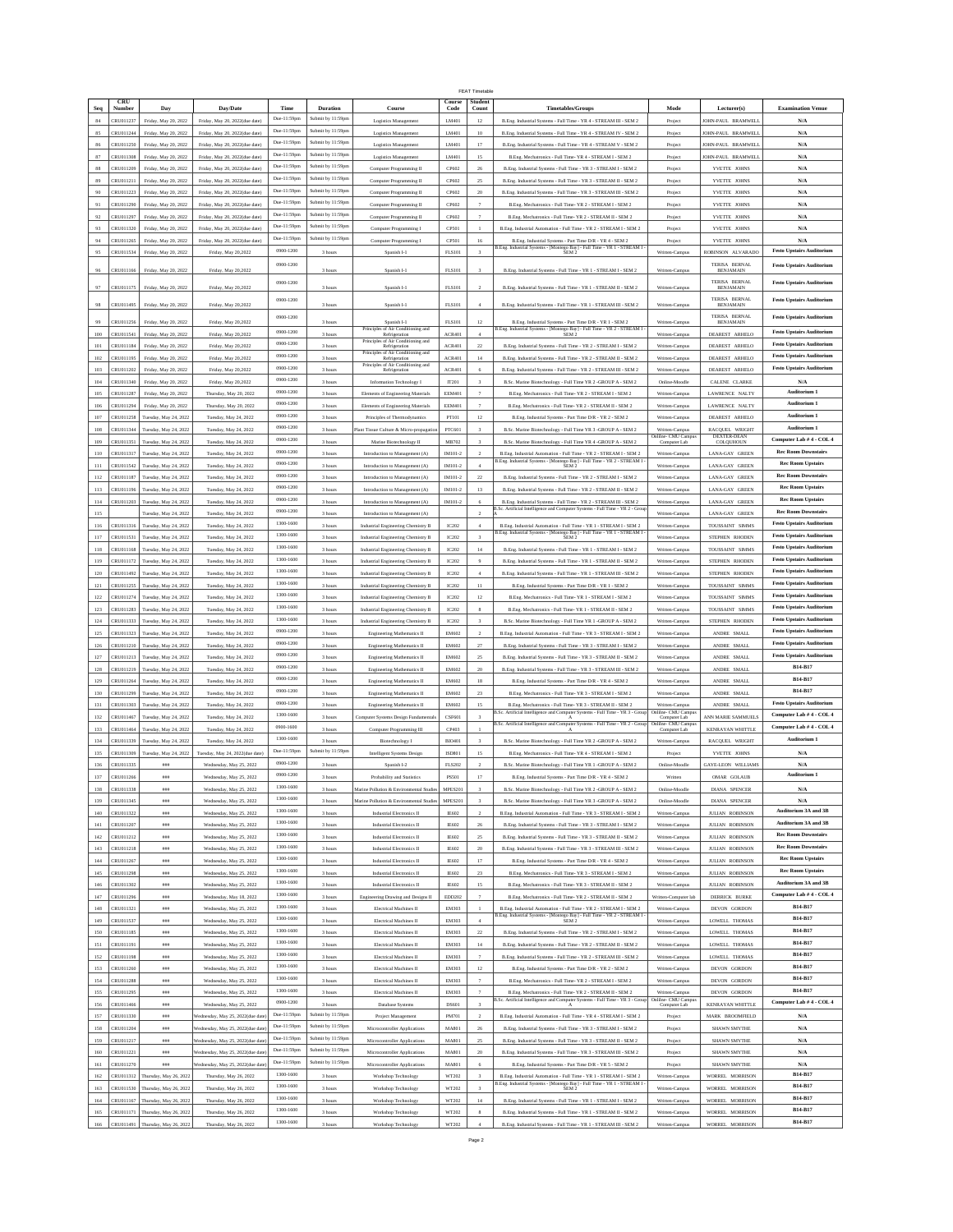|                |           |                                                            |                                                  |                        |                               |                                                                      |                | <b>FFAT Timetahl</b>     |                                                                                                                                                                                                                                |                                     |                                    |                                    |
|----------------|-----------|------------------------------------------------------------|--------------------------------------------------|------------------------|-------------------------------|----------------------------------------------------------------------|----------------|--------------------------|--------------------------------------------------------------------------------------------------------------------------------------------------------------------------------------------------------------------------------|-------------------------------------|------------------------------------|------------------------------------|
|                | CRU       |                                                            |                                                  |                        |                               |                                                                      | Course         | Student                  |                                                                                                                                                                                                                                |                                     |                                    |                                    |
| Sec            | Number    | Day                                                        | Day/Date                                         | Time<br>Due-11:59pm    | Duration<br>Submit by 11:59pm | Course                                                               | Code           | Count                    | <b>Timetables/Groups</b>                                                                                                                                                                                                       | Mode                                | Lecturer(s)                        | <b>Examination Venue</b>           |
| 84             | CRU011237 | Friday, May 20, 2022                                       | Friday, May 20, 2022(due date)                   |                        |                               | Logistics Management                                                 | LM401          | 12                       | B.Eng. Industrial Systems - Full Time - YR 4 - STREAM III - SEM 2                                                                                                                                                              | Project                             | JOHN-PAUL BRAMWELI                 | N/A                                |
| 85             | CRU011244 | Friday, May 20, 2022                                       | Friday, May 20, 2022(due date)                   | Due-11:59pm            | Submit by 11:59pm             | Logistics Management                                                 | LM401          | 10                       | B.Eng. Industrial Systems - Full Time - YR 4 - STREAM IV - SEM 2                                                                                                                                                               | Project                             | <b>JOHN-PALIL BRAMWELL</b>         | N/A                                |
| 86             | CRU011250 | Friday, May 20, 2022                                       | Friday, May 20, 2022(due date)                   | Due-11:59pm            | Submit by 11:59pm             | Logistics Managemen                                                  | LM401          | 17                       | B.Eng. Industrial Systems - Full Time - YR 4 - STREAM V - SEM 2                                                                                                                                                                | Project                             | JOHN-PAUL BRAMWELL                 | N/A                                |
| 87             | CRU011308 | Friday, May 20, 2022                                       | Friday, May 20, 2022(due date                    | Due-11:59pm            | Submit by 11:59pr             | Logistics Managemen                                                  | LM401          | 15                       | B.Eng. Mechatronics - Full Time- YR 4 - STREAM I - SEM 2                                                                                                                                                                       | Projec                              | <b>IOHN-PAUL BRAMWELI</b>          | N/A                                |
| 88             | CRU011209 | Friday, May 20, 2022                                       | Friday, May 20, 2022(due date)                   | Due-11:59pm            | Submit by 11:59pm             | Computer Programming II                                              | CP602          | 26                       | B.Eng. Industrial Systems - Full Time - YR 3 - STREAM I - SEM 2                                                                                                                                                                | Project                             | YVETTE JOHNS                       | N/A                                |
| 89             | CRU011211 | Friday, May 20, 2022                                       | Friday, May 20, 2022(due date)                   | Due-11:59pm            | Submit by 11:59pm             | Computer Programming II                                              | CP602          | 25                       | B.Eng. Industrial Systems - Full Time - YR 3 - STREAM II - SEM 2                                                                                                                                                               | Project                             | YVETTE JOHNS                       | N/A                                |
| 90             | CRU011223 | Friday, May 20, 2022                                       | Friday, May 20, 2022(due date)                   | Due-11:59pm            | Submit by 11:59pm             | Computer Programming II                                              | CP602          | $20\,$                   | B.Eng. Industrial Systems - Full Time - YR 3 - STREAM III - SEM 2                                                                                                                                                              | Project                             | YVETTE JOHNS                       | N/A                                |
| 91             | CRU011290 | Friday, May 20, 2022                                       | Friday, May 20, 2022(due date)                   | Due-11:59pm            | Submit by 11:59pm             | Computer Programming II                                              | CP602          |                          | B.Eng. Mechatronics - Full Time-YR 2 - STREAM I - SEM 2                                                                                                                                                                        | Project                             | YVETTE JOHNS                       | N/A                                |
| 92             | CRU011297 | Friday, May 20, 2022                                       | Friday, May 20, 2022(due date)                   | Due-11:59pm            | Submit by 11:59pm             | Computer Programming II                                              | CP602          | $\overline{\phantom{a}}$ | B.Eng. Mechatronics - Full Time-YR 2 - STREAM II - SEM 2                                                                                                                                                                       | Project                             | YVETTE JOHNS                       | N/A                                |
| 93             | CRU011320 | Friday, May 20, 2022                                       | Friday, May 20, 2022(due date)                   | Due-11:59pm            | Submit by 11:59pm             | Computer Programming I                                               | CP501          | $\mathbf{1}$             | B.Eng. Industrial Automation - Full Time - YR 2 - STREAM I - SEM 2                                                                                                                                                             | Project                             | YVETTE JOHNS                       | N/A                                |
| 94             | CRU011265 | Friday, May 20, 2022                                       | Friday, May 20, 2022(due date)                   | Due-11:59pm            | Submit by 11:59pr             | Computer Programming I                                               | CP501          | 16                       | B.Eng. Industrial Systems - Part Time D/R - YR 4 - SEM 2                                                                                                                                                                       | Project                             | YVETTE JOHNS                       | N/A                                |
| 95             | CRU011534 | Friday, May 20, 2022                                       | Friday, May 20,2022                              | 0900-1200              | 3 hour                        | Spanish I-1                                                          | FLS101         | 3                        | B.Eng. Industrial Systems - [Montego Bay] - Full Time - YR 1 - STREAM I - SEREAM I - SEREAM I - SEREAM I - SEREAM I - SEREAM I - SEREAM I - SEREAM I - SEREAM I - SEREAM I - SEREAM I - SEREAM I - SEREAM I - SEREAM I - SEREA | Written-Campus                      | ROBINSON ALVARADO                  | <b>Festo Upstairs Auditorium</b>   |
|                |           |                                                            |                                                  | 0900-1200              |                               |                                                                      |                |                          |                                                                                                                                                                                                                                |                                     | TERISA BERNAL                      | <b>Festo Upstairs Auditorium</b>   |
| 96             | CRU011166 | Friday, May 20, 2022                                       | Friday, May 20,2022                              |                        | 3 hours                       | Spanish I-1                                                          | <b>FLS101</b>  |                          | B.Eng. Industrial Systems - Full Time - YR 1 - STREAM I - SEM 2                                                                                                                                                                | Written-Campus                      | <b>BENJAMAIN</b>                   |                                    |
|                | CRU011175 | Friday, May 20, 2022                                       | Friday, May 20,2022                              | 0900-1200              | 3 hours                       | Spanish I-1                                                          | <b>FLS101</b>  |                          | B.Eng. Industrial Systems - Full Time - YR 1 - STREAM II - SEM 2                                                                                                                                                               | Written-Campus                      | <b>TERISA BERNAL</b>               | <b>Festo Upstairs Auditorium</b>   |
|                |           |                                                            |                                                  | 0900-1200              |                               |                                                                      |                |                          |                                                                                                                                                                                                                                |                                     | TERISA BERNAL                      | <b>Festo Upstairs Auditorium</b>   |
| 98             | CRU011495 | Friday, May 20, 2022                                       | Friday, May 20,2022                              |                        | 3 hours                       | Spanish I-1                                                          | FLS101         |                          | B.Eng. Industrial Systems - Full Time - YR 1 - STREAM III - SEM 2                                                                                                                                                              | Written-Campus                      | <b>BENJAMAIN</b>                   |                                    |
| 99             | CRU011256 | Friday, May 20, 2022                                       | Friday, May 20.2022                              | 0900-1200              | 3 hours                       | Spanish I-1                                                          | <b>FLS101</b>  | 12                       | B.Eng. Industrial Systems - Part Time D/R - YR 1 - SEM 2                                                                                                                                                                       | Written-Campus                      | TERISA BERNAL<br><b>BENJAMAIN</b>  | <b>Festo Upstairs Auditorium</b>   |
| 100            | CRU011541 | Friday, May 20, 2022                                       | Friday, May 20,2022                              | 0900-1200              | 3 hours                       | Principles of Air Conditioning and<br>Refrigeration                  | ACR401         | $\ddot{4}$               | B.Eng. Industrial Systems - [Montego Bay] - Full Time - YR $2$ - STREAM I $$\sf SEM\,2$$                                                                                                                                       | Written-Campu                       | DEAREST ARHELC                     | <b>Festo Upstairs Auditorium</b>   |
|                |           |                                                            |                                                  | 0900-1200              |                               | Principles of Air Conditioning and                                   |                |                          |                                                                                                                                                                                                                                |                                     |                                    | <b>Festo Upstairs Auditorium</b>   |
| 101            | CRU011184 | Friday, May 20, 2022                                       | Friday, May 20,2022                              | 0900-1200              | 3 hours                       | Refrigeration<br>Principles of Air Conditioning and<br>Refrigeration | ACR401         | $22\,$                   | B.Eng. Industrial Systems - Full Time - YR 2 - STREAM I - SEM 2                                                                                                                                                                | Written-Campus                      | DEAREST ARHELO                     | <b>Festo Upstairs Auditorium</b>   |
| 102            | CRU011195 | Friday, May 20, 2022                                       | Friday, May 20,2022                              |                        | 3 hours                       | Principles of Air Conditioning and                                   | ACR401         | 14                       | B.Eng. Industrial Systems - Full Time - YR 2 - STREAM II - SEM 2                                                                                                                                                               | Written-Campus                      | DEAREST ARHELO                     |                                    |
| 103            | CRU011202 | Friday, May 20, 2022                                       | Friday, May 20,2022                              | 0900-1200              | 3 hours                       | Refrigeration                                                        | <b>ACR401</b>  | 6                        | B.Eng. Industrial Systems - Full Time - YR 2 - STREAM III - SEM 2                                                                                                                                                              | Written-Campus                      | DEAREST ARHELO                     | <b>Festo Upstairs Auditorium</b>   |
| 104            | CRU011340 | Friday, May 20, 2022                                       | Friday, May 20,2022                              | 0900-1200              | 3 hours                       | Information Technology I                                             | IT201          |                          | B.Sc. Marine Biotechnology - Full Time YR 2 -GROUP A - SEM 2                                                                                                                                                                   | Online-Moodle                       | CALENE CLARKE                      | N/A                                |
| 105            | CRU011287 | Friday, May 20, 2022                                       | Thursday, May 20, 2022                           | 0900-1200              | 3 hours                       | Elements of Engineering Materials                                    | <b>EEM401</b>  | $\overline{7}$           | B.Eng. Mechatronics - Full Time- YR 2 - STREAM I - SEM 2                                                                                                                                                                       | Written-Campus                      | LAWRENCE NALTY                     | Auditorium 1                       |
| 106            | CRU011294 | Friday, May 20, 2022                                       | Thursday, May 20, 2022                           | 0900-1200              | 3 hours                       | Elements of Engineering Materials                                    | <b>EEM401</b>  |                          | B.Eng. Mechatronics - Full Time- YR 2 - STREAM II - SEM 2                                                                                                                                                                      | Written-Campus                      | LAWRENCE NALTY                     | Auditorium 1                       |
| 107            | CRU011258 | Tuesday, May 24, 2022                                      | Tuesday, May 24, 2022                            | 0900-1200              | 3 hours                       | Principles of Thermodynamics                                         | PT101          | 12                       | B.Eng. Industrial Systems - Part Time D/R - YR 2 - SEM 2                                                                                                                                                                       | Written-Campu                       | <b>DEAREST ARHELO</b>              | Auditorium 1                       |
| 108            | CRU011344 | Tuesday, May 24, 2022                                      | Tuesday, May 24, 2022                            | 0900-1200              | 3 hours                       | lant Tissue Culture & Micro-propagatio                               | PTC601         |                          | B.Sc. Marine Biotechnology - Full Time YR 3 -GROUP A - SEM 2                                                                                                                                                                   | Written-Campus                      | RACQUEL WRIGHT                     | Auditorium 1                       |
| 109            | CRU011351 | Tuesday, May 24, 2022                                      | Tuesday, May 24, 2022                            | 0900-1200              | 3 hours                       | Marine Biotechnology II                                              | MB702          |                          | B.Sc. Marine Biotechnology - Full Time YR 4 -GROUP A - SEM 2                                                                                                                                                                   | Onlilne- CMU Campu<br>Computer Lab  | DEXTER-DEAN<br>COLQUHOUN           | Computer Lab # 4 - COL 4           |
| 110            | CRU011317 | Tuesday, May 24, 2022                                      | Tuesday, May 24, 2022                            | 0900-1200              | 3 hours                       | Introduction to Management (A)                                       | IM101-2        | $\,2\,$                  | B.Eng. Industrial Automation - Full Time - YR 2 - STREAM I - SEM 2                                                                                                                                                             | Written-Campus                      | <b>LANA-GAY GREEN</b>              | <b>Rec Room Downstairs</b>         |
| 111            | CRU011542 | Tuesday, May 24, 2022                                      | Tuesday, May 24, 2022                            | 0900-1200              |                               |                                                                      | IM101-2        | 4                        | B.Eng. Industrial Systems - [Montego Bay] - Full Time - YR 2 - STREAM I SEM 2                                                                                                                                                  |                                     | LANA-GAY GREEN                     | <b>Rec Room Upstairs</b>           |
|                |           |                                                            |                                                  | 0900-1200              | 3 hours                       | Introduction to Management (A)                                       |                |                          |                                                                                                                                                                                                                                | Written-Campus                      |                                    | <b>Rec Room Downstairs</b>         |
| 112            | CRU011187 | Tuesday, May 24, 2022                                      | Tuesday, May 24, 2022                            | 0900-1200              | 3 hours                       | Introduction to Management (A)                                       | IM101-2        | $22\,$                   | B.Eng. Industrial Systems - Full Time - YR 2 - STREAM I - SEM 2                                                                                                                                                                | Written-Campus                      | LANA-GAY GREEN                     | <b>Rec Room Upstairs</b>           |
| 113            | CRU011196 | Tuesday, May 24, 2022                                      | Tuesday, May 24, 2022                            |                        | 3 hours                       | Introduction to Management (A)                                       | IM101-2        | 13                       | B.Eng. Industrial Systems - Full Time - YR 2 - STREAM II - SEM 2                                                                                                                                                               | Written-Campus                      | <b>LANA-GAY GREEN</b>              |                                    |
| 114            | CRU011203 | Tuesday, May 24, 2022                                      | Tuesday, May 24, 2022                            | 0900-1200              | 3 hours                       | Introduction to Management (A)                                       | IM101-2        | 6                        | B.Eng. Industrial Systems - Full Time - YR 2 - STREAM III - SEM 2                                                                                                                                                              | Written-Campus                      | <b>LANA-GAY GREEN</b>              | <b>Rec Room Upstairs</b>           |
| 115            |           | Tuesday, May 24, 2022                                      | Tuesday, May 24, 2022                            | 0900-1200              | 3 hours                       | Introduction to Management (A)                                       |                | $\mathcal{P}$            | 3.Sc. Artificial Intelligence and Computer Systems - Full Time - YR 2 - Gro                                                                                                                                                    | Written-Campus                      | <b>LANA-GAY GREEN</b>              | <b>Rec Room Downstair:</b>         |
| $116\,$        | CRU011316 | Tuesday, May 24, 2022                                      | Tuesday, May 24, 2022                            | 1300-1600              | 3 hours                       | Industrial Engineering Chemistry B                                   | IC202          |                          | B.<br>Eng. Industrial Automation - Full Time - YR 1 - STREAM I - SEM 2                                                                                                                                                         | Written-Campus                      | TOUSSAINT SIMMS                    | <b>Festo Upstairs Auditoriun</b>   |
| 117            | CRU011531 | Tuesday, May 24, 2022                                      | Tuesday, May 24, 2022                            | 1300-1600              | 3 hours                       | Industrial Engineering Chemistry B                                   | IC202          | $\overline{\mathbf{3}}$  | B.Eng. Industrial Systems - [Montego Bay] - Full Time - YR 1 - STREAM I - SEM 2                                                                                                                                                | Written-Campus                      | STEPHEN RHODEN                     | <b>Festo Upstairs Auditorium</b>   |
| 118            | CRU011168 | Tuesday, May 24, 2022                                      | Tuesday, May 24, 2022                            | 1300-1600              | 3 hours                       | Industrial Engineering Chemistry B                                   | IC202          | 14                       | B.Eng. Industrial Systems - Full Time - YR 1 - STREAM I - SEM 2                                                                                                                                                                | Written-Campus                      | TOUSSAINT SIMMS                    | <b>Festo Upstairs Auditorium</b>   |
| 119            | CRU011172 | Tuesday, May 24, 2022                                      | Tuesday, May 24, 2022                            | 1300-1600              | 3 hours                       | Industrial Engineering Chemistry B                                   | IC202          | $\overline{9}$           | B.Eng. Industrial Systems - Full Time - YR 1 - STREAM II - SEM 2                                                                                                                                                               | Written-Campus                      | STEPHEN RHODEN                     | <b>Festo Upstairs Auditorium</b>   |
| 120            | CRU011492 | Tuesday, May 24, 2022                                      | Tuesday, May 24, 2022                            | 1300-1600              | 3 hours                       | Industrial Engineering Chemistry B                                   | IC202          | $\ddot{a}$               | B.Eng. Industrial Systems - Full Time - YR 1 - STREAM III - SEM 2                                                                                                                                                              | Written-Campus                      | STEPHEN RHODEN                     | <b>Festo Upstairs Auditorium</b>   |
| 121            | CRU011255 | Tuesday, May 24, 2022                                      | Tuesday, May 24, 2022                            | 1300-1600              | 3 hours                       | Industrial Engineering Chemistry B                                   | IC202          | 11                       | B.Eng. Industrial Systems - Part Time D/R - YR 1 - SEM 2                                                                                                                                                                       | Written-Campus                      | TOUSSAINT SIMMS                    | <b>Festo Upstairs Auditorium</b>   |
| 122            | CRU011274 | Tuesday, May 24, 2022                                      | Tuesday, May 24, 2022                            | 1300-1600              | 3 hours                       | Industrial Engineering Chemistry B                                   | IC202          | 12                       | B.Eng. Mechatronics - Full Time-YR 1 - STREAM I - SEM 2                                                                                                                                                                        | Written-Campus                      | TOUSSAINT SIMMS                    | <b>Festo Upstairs Auditorium</b>   |
|                |           |                                                            |                                                  | 1300-1600              |                               |                                                                      |                |                          |                                                                                                                                                                                                                                |                                     |                                    | <b>Festo Upstairs Auditorium</b>   |
| 123            | CRU011283 | Tuesday, May 24, 2022                                      | Tuesday, May 24, 2022                            | 1300-1600              | 3 hours                       | Industrial Engineering Chemistry B                                   | IC202          | 8                        | B.Eng. Mechatronics - Full Time- YR 1 - STREAM II - SEM 2                                                                                                                                                                      | Written-Campus                      | TOUSSAINT SIMM:                    | <b>Festo Upstairs Auditorium</b>   |
| 124            |           | CRU011333 Tuesday, May 24, 2022                            | Tuesday, May 24, 2022                            |                        | 3 hours                       | Industrial Engineering Chemistry B                                   | IC202          | 3                        | B.Sc. Marine Biotechnology - Full Time YR 1 -GROUP A - SEM 2                                                                                                                                                                   | Written-Campus                      | STEPHEN RHODEN                     |                                    |
| 125            | CRU011323 | Tuesday, May 24, 2022                                      | Tuesday, May 24, 2022                            | 0900-1200              | 3 hours                       | <b>Engineering Mathematics II</b>                                    | EM602          |                          | B.Eng. Industrial Automation - Full Time - YR 3 - STREAM I - SEM 2                                                                                                                                                             | Written-Campus                      | ANDRE SMALI                        | <b>Festo Upstairs Auditoriun</b>   |
| 126            | CRU011210 | Tuesday, May 24, 2022                                      | Tuesday, May 24, 2022                            | 0900-1200              | 3 hours                       | <b>Engineering Mathematics II</b>                                    | EM602          | 27                       | B.Eng. Industrial Systems - Full Time - YR 3 - STREAM I - SEM 2                                                                                                                                                                | Written-Campus                      | ANDRE SMALL                        | <b>Festo Upstairs Auditorium</b>   |
| 127            | CRU011213 | Tuesday, May 24, 2022                                      | Tuesday, May 24, 2022                            | 0900-1200              | 3 hours                       | <b>Engineering Mathematics II</b>                                    | EM602          | $_{\rm 25}$              | B.Eng. Industrial Systems - Full Time - YR 3 - STREAM II - SEM 2                                                                                                                                                               | Written-Campus                      | ANDRE SMALL                        | <b>Festo Upstairs Auditorium</b>   |
| 128            | CRU011219 | Tuesday, May 24, 2022                                      | Tuesday, May 24, 2022                            | 0900-1200              | 3 hours                       | <b>Engineering Mathematics II</b>                                    | EM602          | 20                       | B.Eng. Industrial Systems - Full Time - YR 3 - STREAM III - SEM 2                                                                                                                                                              | Written-Campus                      | ANDRE SMALL                        | B14-B17                            |
| 129            | CRU011264 | Tuesday, May 24, 2022                                      | Tuesday, May 24, 2022                            | 0900-1200              | 3 hours                       | <b>Engineering Mathematics II</b>                                    | EM602          | 18                       | B.Eng. Industrial Systems - Part Time D/R - YR 4 - SEM 2                                                                                                                                                                       | Written-Campus                      | ANDRE SMALL                        | B14-B17                            |
| $130\,$        | CRU011299 | Tuesday, May 24, 2022                                      | Tuesday, May 24, 2022                            | 0900-1200              | 3 hours                       | <b>Engineering Mathematics II</b>                                    | EM602          | $23\,$                   | B.Eng. Mechatronics - Full Time- YR 3 - STREAM I - SEM 2                                                                                                                                                                       | Written-Campu                       | ANDRE SMALI                        | B14-B17                            |
| 131            | CRU011303 | Tuesday, May 24, 2022                                      | Tuesday, May 24, 2022                            | 0900-1200              | 3 hours                       | Engineering Mathematics II                                           | EM602          | 15                       | B.Eng. Mechatronics - Full Time-YR 3 - STREAM II - SEM 2                                                                                                                                                                       | Written-Campus                      | ANDRE SMALL                        | <b>Festo Upstairs Auditorium</b>   |
| 132            | CRU011467 | Tuesday, May 24, 2022                                      | Tuesday, May 24, 2022                            | 1300-1600              | 3 hours                       | Computer Systems Design Fundamental                                  | CSF601         |                          | B.Sc. Artificial Intelligence and Computer Systems - Full Time - YR 3 - Group                                                                                                                                                  | Onlilne- CMU Campus<br>Computer Lab | ANN MARIE SAMMUELS                 | Computer Lab # 4 - COL 4           |
| 133            | CRU011464 | Tuesday, May 24, 2022                                      | Tuesday, May 24, 2022                            | 0900-1600              | 3 hours                       | Computer Programming III                                             | CP403          | $\,$ 1                   | B.Sc. Artificial Intelligence and Computer Systems - Full Time - YR 2 - Grou                                                                                                                                                   | Onlilne- CMU Camp<br>Computer Lab   | KENRAYAN WHITTLE                   | Computer Lab # 4 - COL 4           |
| 134            | CRU011339 | Tuesday, May 24, 2022                                      | Tuesday, May 24, 2022                            | 1300-1600              | 3 hours                       | Biotechnology I                                                      | <b>BIO401</b>  |                          | B.Sc. Marine Biotechnology - Full Time YR 2 -GROUP A - SEM 2                                                                                                                                                                   | Written-Campus                      | RACQUEL WRIGHT                     | Auditorium 1                       |
| 135            | CRU011309 |                                                            |                                                  | Due-11:59pm            | Submit by 11:59pm             |                                                                      |                | 15                       |                                                                                                                                                                                                                                |                                     |                                    |                                    |
|                | CRU011335 | Tuesday, May 24, 2022                                      | Tuesday, May 24, 2022(due date)                  | 0900-1200              |                               | Intelligent Systems Design                                           | <b>ISD801</b>  |                          | B.Eng. Mechatronics - Full Time- YR 4 - STREAM I - SEM 2                                                                                                                                                                       | Project                             | YVETTE JOHNS                       | N/A                                |
| 136            |           | #88                                                        | Wednesday, May 25, 2022                          | 0900-1200              | 3 hours                       | Spanish I-2                                                          | <b>FLS202</b>  | $\overline{2}$           | B.Sc. Marine Biotechnology - Full Time YR 1 -GROUP A - SEM 2                                                                                                                                                                   | Online-Moodle                       | <b>GAYE-LEON WILLIAMS</b>          | N/A<br>Auditorium 1                |
| 137            | CRU011266 | #88                                                        | Wednesday, May 25, 2022                          | 1300-1600              | 3 hours                       | Probability and Statistics                                           | <b>PS501</b>   | 17                       | B.Eng. Industrial Systems - Part Time D/R - YR 4 - SEM 2                                                                                                                                                                       | Written                             | OMAR GOLAUB                        |                                    |
| 138            | CRU011338 | $_{\#BB}$                                                  | Wednesday, May 25, 2022                          |                        | 3 hours                       | Marine Pollution & Environmental Studies                             | MPES201        | $\overline{\mathbf{3}}$  | B.Sc. Marine Biotechnology - Full Time YR 2 -GROUP A - SEM 2                                                                                                                                                                   | Online-Moodle                       | <b>DIANA SPENCER</b>               | $\mathbf{N}/\mathbf{A}$            |
| 139            | CRU011345 | ###                                                        | Wednesday, May 25, 2022                          | 1300-1600              | 3 hours                       | Marine Pollution & Environmental Studie                              | MPES20         |                          | B.Sc. Marine Biotechnology - Full Time YR 3 -GROUP A - SEM 2                                                                                                                                                                   | Online-Moodle                       | DIANA SPENCER                      | N/A                                |
| 140            | CRU011322 | # 444                                                      | Wednesday, May 25, 2022                          | 1300-1600              | 3 hours                       | Industrial Electronics II                                            | IE602          | $\,2\,$                  | B.Eng. Industrial Automation - Full Time - YR 3 - STREAM I - SEM 2                                                                                                                                                             | Written-Campus                      | JULIAN ROBINSON                    | Auditorium 3A and 3B               |
| 141            | CRU011207 | ###                                                        | Wednesday, May 25, 2022                          | 1300-1600              | 3 hours                       | Industrial Electronics II                                            | IE602          | 26                       | B.Eng. Industrial Systems - Full Time - YR 3 - STREAM I - SEM 2                                                                                                                                                                | Written-Campus                      | <b>JULIAN ROBINSON</b>             | Auditorium 3A and 3B               |
| 142            | CRU011212 | ###                                                        | Wednesday, May 25, 2022                          | 1300-1600              | 3 hours                       | Industrial Electronics II                                            | IE602          | 25                       | B.Eng. Industrial Systems - Full Time - YR 3 - STREAM II - SEM 2                                                                                                                                                               | Written-Campus                      | JULIAN ROBINSON                    | <b>Rec Room Downstairs</b>         |
| 143            | CRU011218 | #22                                                        | Wednesday, May 25, 2022                          | 1300-1600              | 3 hours                       | Industrial Electronics II                                            | IE602          | 20                       | B.Eng. Industrial Systems - Full Time - YR 3 - STREAM III - SEM 2                                                                                                                                                              | Written-Campus                      | <b>JULIAN ROBINSON</b>             | <b>Rec Room Downstairs</b>         |
| 144            | CRU011267 | #22                                                        | Wednesday, May 25, 2022                          | 1300-1600              | 3 hours                       | Industrial Electronics II                                            | <b>IE602</b>   | 17                       | B.Eng. Industrial Systems - Part Time D/R - YR 4 - SEM 2                                                                                                                                                                       | Written-Campus                      | <b>JULIAN ROBINSON</b>             | <b>Rec Room Upstairs</b>           |
| $145\,$        | CRU011298 | # 444                                                      | Wednesday, May 25, 2022                          | 1300-1600              | 3 hours                       | Industrial Electronics II                                            | IE602          | $23\,$                   | B.Eng. Mechatronics - Full Time- YR 3 - STREAM I - SEM 2                                                                                                                                                                       | Written-Campus                      | <b>JULIAN ROBINSON</b>             | <b>Rec Room Upstairs</b>           |
| $146\,$        | CRU011302 | ###                                                        | Wednesday, May 25, 2022                          | 1300-1600              | 3 hours                       | Industrial Electronics II                                            | IE602          | $15\,$                   | B.Eng. Mechatronics - Full Time-YR 3 - STREAM II - SEM 2                                                                                                                                                                       | Written-Campus                      | <b>JULIAN ROBINSON</b>             | Auditorium 3A and 3B               |
| 147            | CRU011296 | # 444                                                      | Wednesday, May 18, 2022                          | 1300-1600              | 3 hours                       | Engineering Drawing and Designs II                                   | EDD202         | $\overline{7}$           | B.Eng. Mechatronics - Full Time- YR 2 - STREAM II - SEM 2                                                                                                                                                                      | Written-Computer lab                | DERRICK BURKE                      | Computer Lab # 4 - COL 4           |
| 148            | CRU011321 | ##                                                         | Wednesday, May 25, 2022                          | 1300-1600              | 3 hours                       | Electrical Machines II                                               | EM303          |                          | B.Eng. Industrial Automation - Full Time - YR 2 - STREAM I - SEM 2                                                                                                                                                             | Written-Campus                      | DEVON GORDON                       | B14-B17                            |
| 149            | CRU011537 | ###                                                        | Wednesday, May 25, 2022                          | 1300-1600              | 3 hours                       | Electrical Machines II                                               | EM303          | $\ddot{4}$               | B.Eng. Industrial Systems - [Montego Bay] - Full Time - YR 2 - STREAM I - SEM 2                                                                                                                                                | Written-Campus                      | LOWELL THOMAS                      | B14-B17                            |
| 150            | CRU011185 |                                                            | Wednesday, May 25, 2022                          | 1300-1600              |                               | Electrical Machines II                                               | EM303          | $22\,$                   | B.Eng. Industrial Systems - Full Time - YR 2 - STREAM I - SEM 2                                                                                                                                                                |                                     | LOWELL THOMAS                      | B14-B17                            |
|                | CRU011191 | ###                                                        |                                                  | 1300-1600              | 3 hours                       |                                                                      |                |                          |                                                                                                                                                                                                                                | Written-Campus                      |                                    | B14-B17                            |
| 151            |           | #88                                                        | Wednesday, May 25, 2022                          | 1300-1600              | 3 hours                       | <b>Electrical Machines II</b>                                        | EM303          | 14                       | B.Eng. Industrial Systems - Full Time - YR 2 - STREAM II - SEM 2                                                                                                                                                               | Written-Campus                      | LOWELL THOMAS                      | B14-B17                            |
| 152            | CRU011198 | # 44                                                       | Wednesday, May 25, 2022                          |                        | 3 hours                       | Electrical Machines II                                               | EM303          | 7                        | B.Eng. Industrial Systems - Full Time - YR 2 - STREAM III - SEM 2                                                                                                                                                              | Written-Campus                      | LOWELL THOMAS                      | B14-B17                            |
| 153            | CRU011260 | ###                                                        | Wednesday, May 25, 2022                          | 1300-1600              | 3 hours                       | Electrical Machines II                                               | EM303          | 12                       | B.Eng. Industrial Systems - Part Time D/R - YR 2 - SEM 2                                                                                                                                                                       | Written-Campus                      | DEVON GORDON                       |                                    |
| $154\,$        | CRU011288 | # 444                                                      | Wednesday, May 25, 2022                          | 1300-1600              | 3 hours                       | Electrical Machines II                                               | EM303          | $\overline{7}$           | B.Eng. Mechatronics - Full Time- YR 2 - STREAM I - SEM 2                                                                                                                                                                       | Written-Campus                      | DEVON GORDON                       | B14-B17                            |
| 155            | CRU011295 | ##                                                         | Wednesday, May 25, 2022                          | 1300-1600              | 3 hours                       | Electrical Machines II                                               | EM303          |                          | B.Eng. Mechatronics - Full Time-YR 2 - STREAM II - SEM 2                                                                                                                                                                       | Written-Campus                      | DEVON GORDON                       | B14-B17                            |
| 156            | CRU011466 | # 444                                                      | Wednesday, May 25, 2022                          | 0900-1200              | 3 hours                       | Database Systems                                                     | DS601          | $\mathbf 3$              | B.Sc. Artificial Intelligence and Computer Systems - Full Time - YR 3 - Group                                                                                                                                                  | Onlilne- CMU Campu<br>Computer Lab  | <b>KENRAYAN WHITTLE</b>            | Computer Lab # 4 - COL 4           |
| 157            | CRU011330 | ###                                                        | Vednesday, May 25, 2022(due dat                  | Due-11:59pm            | Submit by 11:59pm             | Project Management                                                   | PM701          | $\overline{2}$           | B.Eng. Industrial Automation - Full Time - YR 4 - STREAM I - SEM 2                                                                                                                                                             | Project                             | MARK BROOMFIELD                    | N/A                                |
|                |           |                                                            | Nednesday, May 25, 2022(due dat                  | Due-11:59pm            | Submit by 11:59pm             | Microcontroller Applications                                         | MA801          | 26                       | B.Eng. Industrial Systems - Full Time - YR 3 - STREAM I - SEM 2                                                                                                                                                                | Project                             | <b>SHAWN SMYTHE</b>                | N/A                                |
| 158            | CRU011204 | #22                                                        |                                                  |                        | Submit by 11:59pm             | Microcontroller Applications                                         | MA801          | 25                       | B.Eng. Industrial Systems - Full Time - YR 3 - STREAM II - SEM 2                                                                                                                                                               | Project                             | SHAWN SMYTHE                       | N/A                                |
| 159            | CRU011217 | # 44                                                       | Wednesday, May 25, 2022(due date                 | Due-11:59pm            |                               |                                                                      |                |                          |                                                                                                                                                                                                                                |                                     |                                    |                                    |
| 160            | CRU011221 | #22                                                        | Wednesday, May 25, 2022(due date                 | Due-11:59pm            | Submit by 11:59pm             |                                                                      | MA801          | 20                       | B.Eng. Industrial Systems - Full Time - YR 3 - STREAM III - SEM 2                                                                                                                                                              | Project                             | <b>SHAWN SMYTHE</b>                | N/A                                |
| 161            |           | #444                                                       |                                                  | Due-11:59pm            | Submit by 11:59pm             | Microcontroller Applications                                         |                | 6                        |                                                                                                                                                                                                                                |                                     |                                    |                                    |
|                | CRU011270 |                                                            | Wednesday, May 25, 2022(due dat                  | 1300-1600              |                               | Microcontroller Applications                                         | MA801          |                          | B.Eng. Industrial Systems - Part Time D/R - YR 5 - SEM 2                                                                                                                                                                       | Project                             | SHAWN SMYTHE                       | $\mathbf{N}/\mathbf{A}$<br>B14-B17 |
| 162            | CRU011312 | Thursday, May 26, 2022                                     | Thursday, May 26, 2022                           | 1300-1600              | 3 hours                       | Workshop Technology                                                  | WT202          |                          | B.Eng. Industrial Automation - Full Time - YR 1 - STREAM I - SEM 2                                                                                                                                                             | Written-Campus                      | WORREL MORRISON                    | B14-B17                            |
| 163            |           | CRU011530 Thursday, May 26, 2022                           | Thursday, May 26, 2022                           |                        | 3 hours                       | Workshop Technology                                                  | WT202          | $\overline{\mathbf{3}}$  | B.Eng. Industrial Systems - [Montego Bay] - Full Time - YR 1 - STREAM I SEM $2\,$                                                                                                                                              | Written-Campus                      | WORREL MORRISON                    |                                    |
| 164            | CRU011167 | Thursday, May 26, 2022                                     | Thursday, May 26, 2022                           | 1300-1600              | 3 hours                       | Workshop Technology                                                  | WT202          | 14                       | B.Eng. Industrial Systems - Full Time - YR 1 - STREAM I - SEM 2                                                                                                                                                                | Written-Campus                      | WORREL MORRISON                    | B14-B17                            |
| 165<br>$166\,$ | CRU011171 | Thursday, May 26, 2022<br>CRU011491 Thursday, May 26, 2022 | Thursday, May 26, 2022<br>Thursday, May 26, 2022 | 1300-1600<br>1300-1600 | 3 hours<br>3 hours            | Workshop Technology<br>Workshop Technology                           | WT202<br>WT202 | 8<br>$\ddot{a}$          | B.Eng. Industrial Systems - Full Time - YR 1 - STREAM II - SEM 2<br>B.Eng. Industrial Systems - Full Time - YR 1 - STREAM III - SEM 2                                                                                          | Written-Campus<br>Written-Campus    | WORREL MORRISON<br>WORREL MORRISON | B14-B17<br>B14-B17                 |